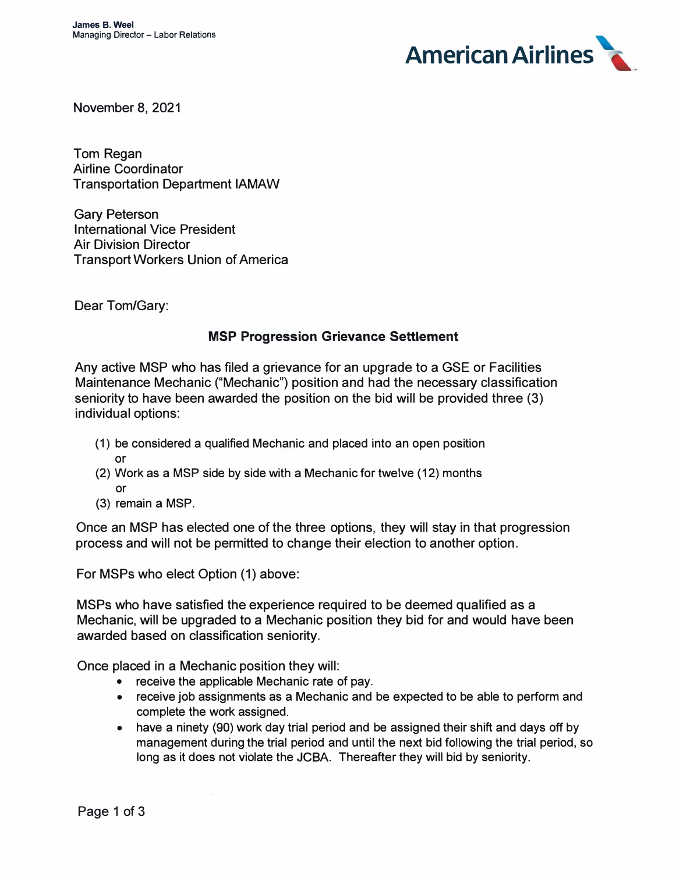

November 8, 2021

Tom Regan Airline Coordinator Transportation Department IAMAW

Gary Peterson International Vice President Air Division Director Transport Workers Union of America

Dear Tom/Gary:

## **MSP Progression Grievance Settlement**

Any active MSP who has filed a grievance for an upgrade to a GSE or Facilities Maintenance Mechanic ("Mechanic") position and had the necessary classification seniority to have been awarded the position on the bid will be provided three (3) individual options:

- (1) be considered a qualified Mechanic and placed into an open position or
- (2) Work as a MSP side by side with a Mechanic for twelve (12) months or
- (3) remain a MSP.

Once an MSP has elected one of the three options, they will stay in that progression process and will not be permitted to change their election to another option.

For MSPs who elect Option (1) above:

MSPs who have satisfied the experience required to be deemed qualified as a Mechanic, will be upgraded to a Mechanic position they bid for and would have been awarded based on classification seniority.

Once placed in a Mechanic position they will:

- receive the applicable Mechanic rate of pay.
- receive job assignments as a Mechanic and be expected to be able to perform and complete the work assigned.
- have a ninety (90) work day trial period and be assigned their shift and days off by management during the trial period and until the next bid following the trial period, so long as it does not violate the JCBA. Thereafter they will bid by seniority.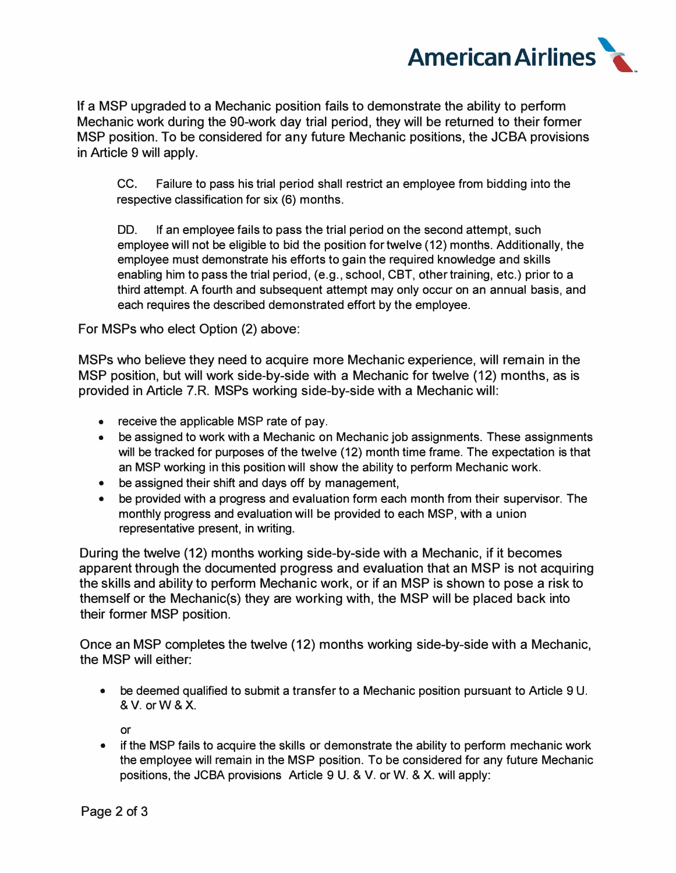

If a MSP upgraded to a Mechanic position fails to demonstrate the ability to perform Mechanic work during the 90-work day trial period, they will be returned to their former MSP position. To be considered for any future Mechanic positions, the JCBA provisions in Article 9 will apply.

CC. Failure to pass his trial period shall restrict an employee from bidding into the respective classification for six (6) months.

DD. If an employee fails to pass the trial period on the second attempt, such employee will not be eligible to bid the position for twelve (12) months. Additionally, the employee must demonstrate his efforts to gain the required knowledge and skills enabling him to pass the trial period, (e.g., school, CBT, other training, etc.) prior to a third attempt. A fourth and subsequent attempt may only occur on an annual basis, and each requires the described demonstrated effort by the employee.

For MSPs who elect Option (2) above:

MSPs who believe they need to acquire more Mechanic experience, will remain in the MSP position, but will work side-by-side with a Mechanic for twelve (12) months, as is provided in Article 7.R. MSPs working side-by-side with a Mechanic will:

- receive the applicable MSP rate of pay.
- be assigned to work with a Mechanic on Mechanic job assignments. These assignments will be tracked for purposes of the twelve (12) month time frame. The expectation is that an MSP working in this position will show the ability to perform Mechanic work.
- be assigned their shift and days off by management,
- be provided with a progress and evaluation form each month from their supervisor. The monthly progress and evaluation will be provided to each MSP, with a union representative present, in writing.

During the twelve (12) months working side-by-side with a Mechanic, if it becomes apparent through the documented progress and evaluation that an MSP is not acquiring the skills and ability to perform Mechanic work, or if an MSP is shown to pose a risk to themself or the Mechanic(s) they are working with, the MSP will be placed back into their former MSP position.

Once an MSP completes the twelve (12) months working side-by-side with a Mechanic, the MSP will either:

• be deemed qualified to submit a transfer to a Mechanic position pursuant to Article 9 U. & V. orW &X.

or

• if the MSP fails to acquire the skills or demonstrate the ability to perform mechanic work the employee will remain in the MSP position. To be considered for any future Mechanic positions, the JCBA provisions Article 9 U. & V. or W. & X. will apply: